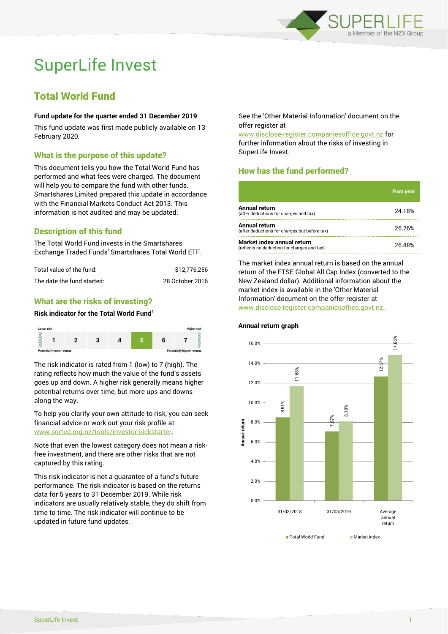

# SuperLife Invest

# Total World Fund

#### **Fund update for the quarter ended 31 December 2019**

This fund update was first made publicly available on 13 February 2020.

## What is the purpose of this update?

This document tells you how the Total World Fund has performed and what fees were charged. The document will help you to compare the fund with other funds. Smartshares Limited prepared this update in accordance with the Financial Markets Conduct Act 2013. This information is not audited and may be updated.

# Description of this fund

The Total World Fund invests in the Smartshares Exchange Traded Funds' Smartshares Total World ETF.

| Total value of the fund:   | \$12.776.256    |
|----------------------------|-----------------|
| The date the fund started: | 28 October 2016 |

# What are the risks of investing?

#### **Risk indicator for the Total World Fund<sup>1</sup>**



The risk indicator is rated from 1 (low) to 7 (high). The rating reflects how much the value of the fund's assets goes up and down. A higher risk generally means higher potential returns over time, but more ups and downs along the way.

To help you clarify your own attitude to risk, you can seek financial advice or work out your risk profile at [www.sorted.org.nz/tools/investor-kickstarter.](http://www.sorted.org.nz/tools/investor-kickstarter)

Note that even the lowest category does not mean a riskfree investment, and there are other risks that are not captured by this rating.

This risk indicator is not a guarantee of a fund's future performance. The risk indicator is based on the returns data for 5 years to 31 December 2019. While risk indicators are usually relatively stable, they do shift from time to time. The risk indicator will continue to be updated in future fund updates.

See the 'Other Material Information' document on the offer register at

www.disclose-register.companiesoffice.govt.nz for further information about the risks of investing in SuperLife Invest.

# How has the fund performed?

|                                                                           | <b>Past year</b> |
|---------------------------------------------------------------------------|------------------|
| Annual return<br>(after deductions for charges and tax)                   | 24.18%           |
| Annual return<br>(after deductions for charges but before tax)            | 26.26%           |
| Market index annual return<br>(reflects no deduction for charges and tax) | 26.88%           |

The market index annual return is based on the annual return of the FTSE Global All Cap Index (converted to the New Zealand dollar). Additional information about the market index is available in the 'Other Material Information' document on the offer register at www.disclose-register.companiesoffice.govt.nz.



#### **Annual return graph**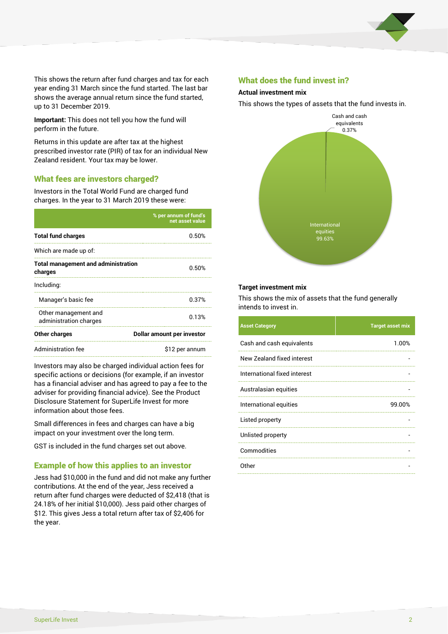

This shows the return after fund charges and tax for each year ending 31 March since the fund started. The last bar shows the average annual return since the fund started, up to 31 December 2019.

**Important:** This does not tell you how the fund will perform in the future.

Returns in this update are after tax at the highest prescribed investor rate (PIR) of tax for an individual New Zealand resident. Your tax may be lower.

## What fees are investors charged?

Investors in the Total World Fund are charged fund charges. In the year to 31 March 2019 these were:

|                                                       | % per annum of fund's<br>net asset value |  |
|-------------------------------------------------------|------------------------------------------|--|
| <b>Total fund charges</b>                             | 0.50%                                    |  |
| Which are made up of:                                 |                                          |  |
| <b>Total management and administration</b><br>charges | 0.50%                                    |  |
| Including:                                            |                                          |  |
| Manager's basic fee                                   | 0.37%                                    |  |
| Other management and<br>administration charges        | 0.13%                                    |  |
| Other charges                                         | Dollar amount per investor               |  |
| Administration fee                                    | \$12 per annum                           |  |

Investors may also be charged individual action fees for specific actions or decisions (for example, if an investor has a financial adviser and has agreed to pay a fee to the adviser for providing financial advice). See the Product Disclosure Statement for SuperLife Invest for more information about those fees.

Small differences in fees and charges can have a big impact on your investment over the long term.

GST is included in the fund charges set out above.

## Example of how this applies to an investor

Jess had \$10,000 in the fund and did not make any further contributions. At the end of the year, Jess received a return after fund charges were deducted of \$2,418 (that is 24.18% of her initial \$10,000). Jess paid other charges of \$12. This gives Jess a total return after tax of \$2,406 for the year.

#### What does the fund invest in?

#### **Actual investment mix**

This shows the types of assets that the fund invests in.



#### **Target investment mix**

This shows the mix of assets that the fund generally intends to invest in.

| <b>Asset Category</b>        | <b>Target asset mix</b> |
|------------------------------|-------------------------|
| Cash and cash equivalents    | 1.00%                   |
| New Zealand fixed interest   |                         |
| International fixed interest |                         |
| Australasian equities        |                         |
| International equities       | 99.00%                  |
| Listed property              |                         |
| Unlisted property            |                         |
| Commodities                  |                         |
| Other                        |                         |